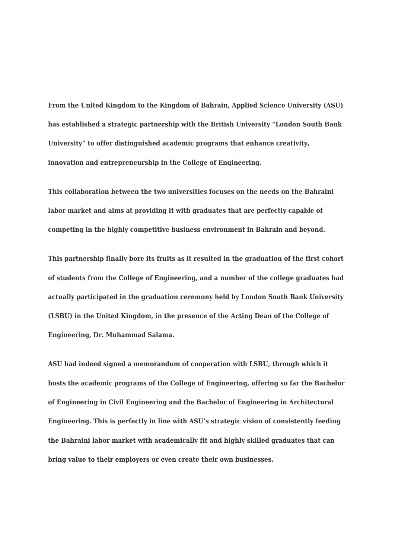**From the United Kingdom to the Kingdom of Bahrain, Applied Science University (ASU) has established a strategic partnership with the British University "London South Bank University" to offer distinguished academic programs that enhance creativity, innovation and entrepreneurship in the College of Engineering.**

**This collaboration between the two universities focuses on the needs on the Bahraini labor market and aims at providing it with graduates that are perfectly capable of competing in the highly competitive business environment in Bahrain and beyond.**

**This partnership finally bore its fruits as it resulted in the graduation of the first cohort of students from the College of Engineering, and a number of the college graduates had actually participated in the graduation ceremony held by London South Bank University (LSBU) in the United Kingdom, in the presence of the Acting Dean of the College of Engineering, Dr. Muhammad Salama.**

**ASU had indeed signed a memorandum of cooperation with LSBU, through which it hosts the academic programs of the College of Engineering, offering so far the Bachelor of Engineering in Civil Engineering and the Bachelor of Engineering in Architectural Engineering. This is perfectly in line with ASU's strategic vision of consistently feeding the Bahraini labor market with academically fit and highly skilled graduates that can bring value to their employers or even create their own businesses.**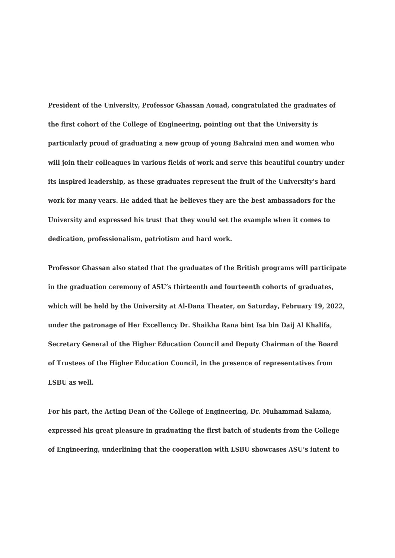**President of the University, Professor Ghassan Aouad, congratulated the graduates of the first cohort of the College of Engineering, pointing out that the University is particularly proud of graduating a new group of young Bahraini men and women who will join their colleagues in various fields of work and serve this beautiful country under its inspired leadership, as these graduates represent the fruit of the University's hard work for many years. He added that he believes they are the best ambassadors for the University and expressed his trust that they would set the example when it comes to dedication, professionalism, patriotism and hard work.**

**Professor Ghassan also stated that the graduates of the British programs will participate in the graduation ceremony of ASU's thirteenth and fourteenth cohorts of graduates, which will be held by the University at Al-Dana Theater, on Saturday, February 19, 2022, under the patronage of Her Excellency Dr. Shaikha Rana bint Isa bin Daij Al Khalifa, Secretary General of the Higher Education Council and Deputy Chairman of the Board of Trustees of the Higher Education Council, in the presence of representatives from LSBU as well.**

**For his part, the Acting Dean of the College of Engineering, Dr. Muhammad Salama, expressed his great pleasure in graduating the first batch of students from the College of Engineering, underlining that the cooperation with LSBU showcases ASU's intent to**